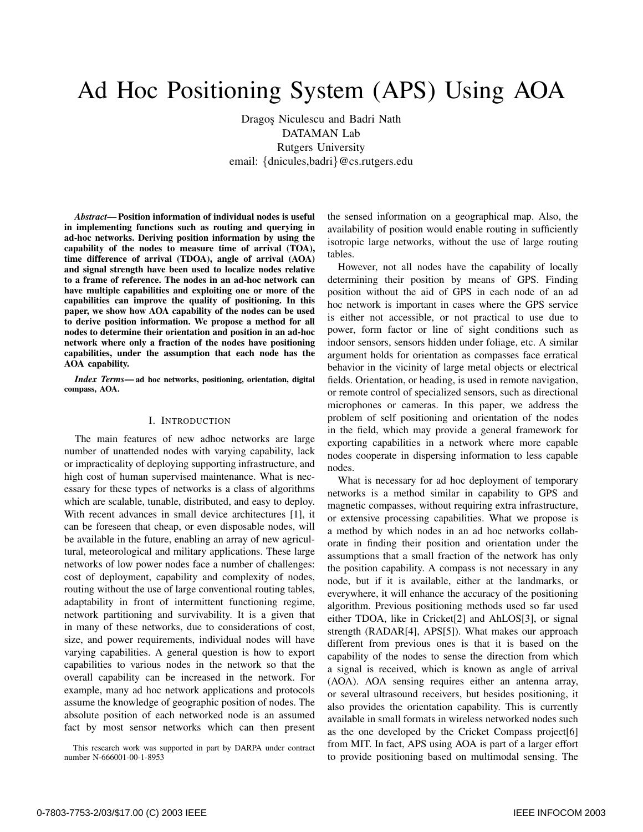# Ad Hoc Positioning System (APS) Using AOA

Dragos¸ Niculescu and Badri Nath DATAMAN Lab Rutgers University email: *{*dnicules,badri*}*@cs.rutgers.edu

*Abstract***— Position information of individual nodes is useful in implementing functions such as routing and querying in ad-hoc networks. Deriving position information by using the capability of the nodes to measure time of arrival (TOA), time difference of arrival (TDOA), angle of arrival (AOA) and signal strength have been used to localize nodes relative to a frame of reference. The nodes in an ad-hoc network can have multiple capabilities and exploiting one or more of the capabilities can improve the quality of positioning. In this paper, we show how AOA capability of the nodes can be used to derive position information. We propose a method for all nodes to determine their orientation and position in an ad-hoc network where only a fraction of the nodes have positioning capabilities, under the assumption that each node has the AOA capability.**

*Index Terms***—ad hoc networks, positioning, orientation, digital compass, AOA.**

## I. INTRODUCTION

The main features of new adhoc networks are large number of unattended nodes with varying capability, lack or impracticality of deploying supporting infrastructure, and high cost of human supervised maintenance. What is necessary for these types of networks is a class of algorithms which are scalable, tunable, distributed, and easy to deploy. With recent advances in small device architectures [1], it can be foreseen that cheap, or even disposable nodes, will be available in the future, enabling an array of new agricultural, meteorological and military applications. These large networks of low power nodes face a number of challenges: cost of deployment, capability and complexity of nodes, routing without the use of large conventional routing tables, adaptability in front of intermittent functioning regime, network partitioning and survivability. It is a given that in many of these networks, due to considerations of cost, size, and power requirements, individual nodes will have varying capabilities. A general question is how to export capabilities to various nodes in the network so that the overall capability can be increased in the network. For example, many ad hoc network applications and protocols assume the knowledge of geographic position of nodes. The absolute position of each networked node is an assumed fact by most sensor networks which can then present

the sensed information on a geographical map. Also, the availability of position would enable routing in sufficiently isotropic large networks, without the use of large routing tables.

However, not all nodes have the capability of locally determining their position by means of GPS. Finding position without the aid of GPS in each node of an ad hoc network is important in cases where the GPS service is either not accessible, or not practical to use due to power, form factor or line of sight conditions such as indoor sensors, sensors hidden under foliage, etc. A similar argument holds for orientation as compasses face erratical behavior in the vicinity of large metal objects or electrical fields. Orientation, or heading, is used in remote navigation, or remote control of specialized sensors, such as directional microphones or cameras. In this paper, we address the problem of self positioning and orientation of the nodes in the field, which may provide a general framework for exporting capabilities in a network where more capable nodes cooperate in dispersing information to less capable nodes.

What is necessary for ad hoc deployment of temporary networks is a method similar in capability to GPS and magnetic compasses, without requiring extra infrastructure, or extensive processing capabilities. What we propose is a method by which nodes in an ad hoc networks collaborate in finding their position and orientation under the assumptions that a small fraction of the network has only the position capability. A compass is not necessary in any node, but if it is available, either at the landmarks, or everywhere, it will enhance the accuracy of the positioning algorithm. Previous positioning methods used so far used either TDOA, like in Cricket[2] and AhLOS[3], or signal strength (RADAR[4], APS[5]). What makes our approach different from previous ones is that it is based on the capability of the nodes to sense the direction from which a signal is received, which is known as angle of arrival (AOA). AOA sensing requires either an antenna array, or several ultrasound receivers, but besides positioning, it also provides the orientation capability. This is currently available in small formats in wireless networked nodes such as the one developed by the Cricket Compass project[6] from MIT. In fact, APS using AOA is part of a larger effort to provide positioning based on multimodal sensing. The

This research work was supported in part by DARPA under contract number N-666001-00-1-8953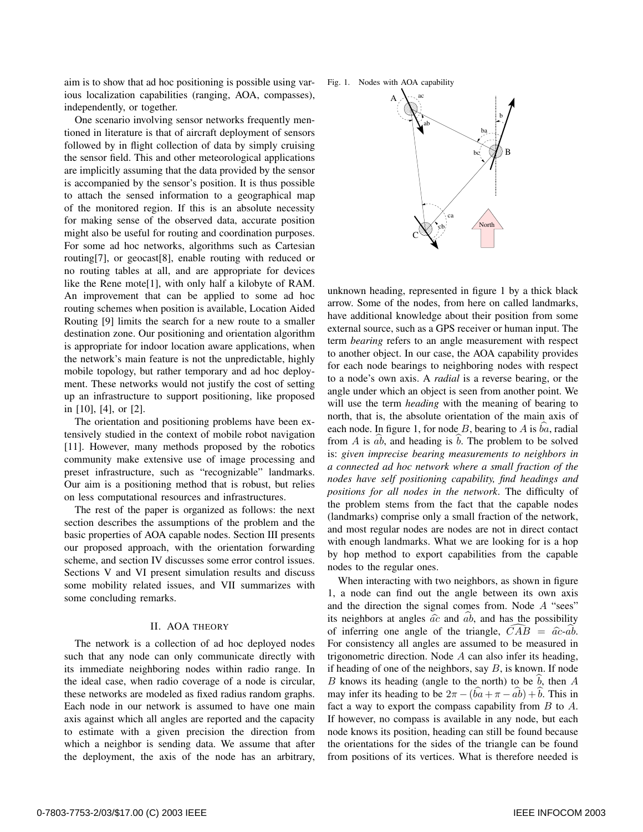aim is to show that ad hoc positioning is possible using various localization capabilities (ranging, AOA, compasses), independently, or together.

One scenario involving sensor networks frequently mentioned in literature is that of aircraft deployment of sensors followed by in flight collection of data by simply cruising the sensor field. This and other meteorological applications are implicitly assuming that the data provided by the sensor is accompanied by the sensor's position. It is thus possible to attach the sensed information to a geographical map of the monitored region. If this is an absolute necessity for making sense of the observed data, accurate position might also be useful for routing and coordination purposes. For some ad hoc networks, algorithms such as Cartesian routing[7], or geocast[8], enable routing with reduced or no routing tables at all, and are appropriate for devices like the Rene mote[1], with only half a kilobyte of RAM. An improvement that can be applied to some ad hoc routing schemes when position is available, Location Aided Routing [9] limits the search for a new route to a smaller destination zone. Our positioning and orientation algorithm is appropriate for indoor location aware applications, when the network's main feature is not the unpredictable, highly mobile topology, but rather temporary and ad hoc deployment. These networks would not justify the cost of setting up an infrastructure to support positioning, like proposed in [10], [4], or [2].

The orientation and positioning problems have been extensively studied in the context of mobile robot navigation [11]. However, many methods proposed by the robotics community make extensive use of image processing and preset infrastructure, such as "recognizable" landmarks. Our aim is a positioning method that is robust, but relies on less computational resources and infrastructures.

The rest of the paper is organized as follows: the next section describes the assumptions of the problem and the basic properties of AOA capable nodes. Section III presents our proposed approach, with the orientation forwarding scheme, and section IV discusses some error control issues. Sections V and VI present simulation results and discuss some mobility related issues, and VII summarizes with some concluding remarks.

## II. AOA THEORY

The network is a collection of ad hoc deployed nodes such that any node can only communicate directly with its immediate neighboring nodes within radio range. In the ideal case, when radio coverage of a node is circular, these networks are modeled as fixed radius random graphs. Each node in our network is assumed to have one main axis against which all angles are reported and the capacity to estimate with a given precision the direction from which a neighbor is sending data. We assume that after the deployment, the axis of the node has an arbitrary,





unknown heading, represented in figure 1 by a thick black arrow. Some of the nodes, from here on called landmarks, have additional knowledge about their position from some external source, such as a GPS receiver or human input. The term *bearing* refers to an angle measurement with respect to another object. In our case, the AOA capability provides for each node bearings to neighboring nodes with respect to a node's own axis. A *radial* is a reverse bearing, or the angle under which an object is seen from another point. We will use the term *heading* with the meaning of bearing to north, that is, the absolute orientation of the main axis of each node. In figure 1, for node  $B$ , bearing to  $A$  is  $ba$ , radial from *A* is *ab* , and heading is *b*. The problem to be solved is: *given imprecise bearing measurements to neighbors in a connected ad hoc network where a small fraction of the nodes have self positioning capability, find headings and positions for all nodes in the network*. The difficulty of the problem stems from the fact that the capable nodes (landmarks) comprise only a small fraction of the network, and most regular nodes are nodes are not in direct contact with enough landmarks. What we are looking for is a hop by hop method to export capabilities from the capable nodes to the regular ones.

When interacting with two neighbors, as shown in figure 1, a node can find out the angle between its own axis and the direction the signal comes from. Node *A* "sees" its neighbors at angles  $\hat{ac}$  and  $ab$ , and has the possibility of inferring one angle of the triangle,  $CAB = \hat{a}c$ -*ab*. For consistency all angles are assumed to be measured in trigonometric direction. Node *A* can also infer its heading, if heading of one of the neighbors, say *B*, is known. If node *B* knows its heading (angle to the north) to be *b*, then *A* may infer its heading to be  $2\pi - (\hat{b}a + \pi - \hat{a}b) + \hat{b}$ . This in fact a way to export the compass capability from *B* to *A*. If however, no compass is available in any node, but each node knows its position, heading can still be found because the orientations for the sides of the triangle can be found from positions of its vertices. What is therefore needed is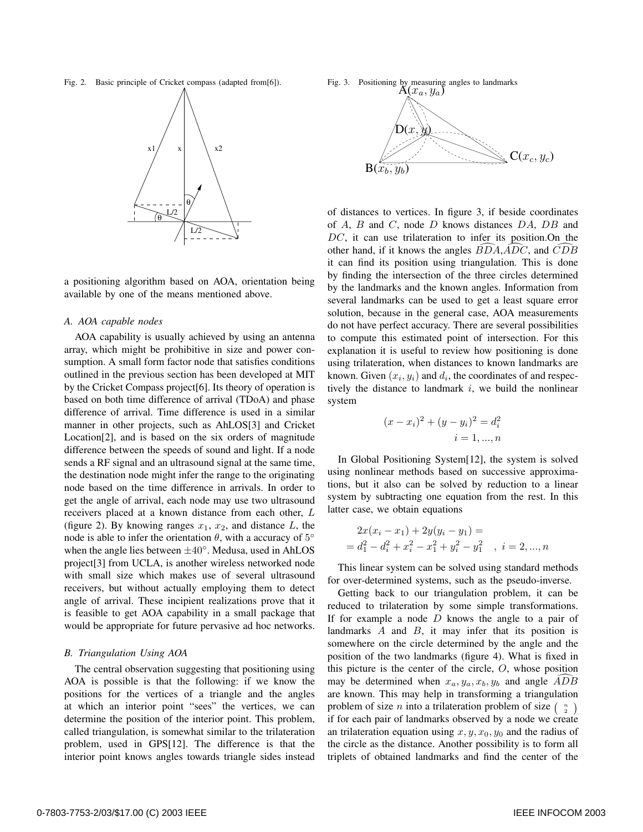Fig. 2. Basic principle of Cricket compass (adapted from[6]).



a positioning algorithm based on AOA, orientation being available by one of the means mentioned above.

#### *A. AOA capable nodes*

AOA capability is usually achieved by using an antenna array, which might be prohibitive in size and power consumption. A small form factor node that satisfies conditions outlined in the previous section has been developed at MIT by the Cricket Compass project[6]. Its theory of operation is based on both time difference of arrival (TDoA) and phase difference of arrival. Time difference is used in a similar manner in other projects, such as AhLOS[3] and Cricket Location[2], and is based on the six orders of magnitude difference between the speeds of sound and light. If a node sends a RF signal and an ultrasound signal at the same time, the destination node might infer the range to the originating node based on the time difference in arrivals. In order to get the angle of arrival, each node may use two ultrasound receivers placed at a known distance from each other, *L* (figure 2). By knowing ranges  $x_1$ ,  $x_2$ , and distance  $L$ , the node is able to infer the orientation  $θ$ , with a accuracy of 5<sup>°</sup> when the angle lies between *±*40◦. Medusa, used in AhLOS project[3] from UCLA, is another wireless networked node with small size which makes use of several ultrasound receivers, but without actually employing them to detect angle of arrival. These incipient realizations prove that it is feasible to get AOA capability in a small package that would be appropriate for future pervasive ad hoc networks.

## *B. Triangulation Using AOA*

The central observation suggesting that positioning using AOA is possible is that the following: if we know the positions for the vertices of a triangle and the angles at which an interior point "sees" the vertices, we can determine the position of the interior point. This problem, called triangulation, is somewhat similar to the trilateration problem, used in GPS[12]. The difference is that the interior point knows angles towards triangle sides instead





of distances to vertices. In figure 3, if beside coordinates of *A*, *B* and *C*, node *D* knows distances *DA*, *DB* and *DC*, it can use trilateration to infer its position.On the other hand, if it knows the angles  $BDA, ADC$ , and  $CDB$ it can find its position using triangulation. This is done by finding the intersection of the three circles determined by the landmarks and the known angles. Information from several landmarks can be used to get a least square error solution, because in the general case, AOA measurements do not have perfect accuracy. There are several possibilities to compute this estimated point of intersection. For this explanation it is useful to review how positioning is done using trilateration, when distances to known landmarks are known. Given  $(x_i, y_i)$  and  $d_i$ , the coordinates of and respectively the distance to landmark *i*, we build the nonlinear system

$$
(x - x_i)^2 + (y - y_i)^2 = d_i^2
$$
  

$$
i = 1, ..., n
$$

In Global Positioning System[12], the system is solved using nonlinear methods based on successive approximations, but it also can be solved by reduction to a linear system by subtracting one equation from the rest. In this latter case, we obtain equations

$$
2x(x_i - x_1) + 2y(y_i - y_1) =
$$
  
=  $d_1^2 - d_i^2 + x_i^2 - x_1^2 + y_i^2 - y_1^2$ ,  $i = 2, ..., n$ 

This linear system can be solved using standard methods for over-determined systems, such as the pseudo-inverse.

Getting back to our triangulation problem, it can be reduced to trilateration by some simple transformations. If for example a node *D* knows the angle to a pair of landmarks *A* and *B*, it may infer that its position is somewhere on the circle determined by the angle and the position of the two landmarks (figure 4). What is fixed in this picture is the center of the circle, *O*, whose position may be determined when  $x_a, y_a, x_b, y_b$  and angle  $ADB$ are known. This may help in transforming a triangulation problem of size *n* into a trilateration problem of size  $\begin{pmatrix} n \\ 2 \end{pmatrix}$ if for each pair of landmarks observed by a node we create an trilateration equation using  $x, y, x_0, y_0$  and the radius of the circle as the distance. Another possibility is to form all triplets of obtained landmarks and find the center of the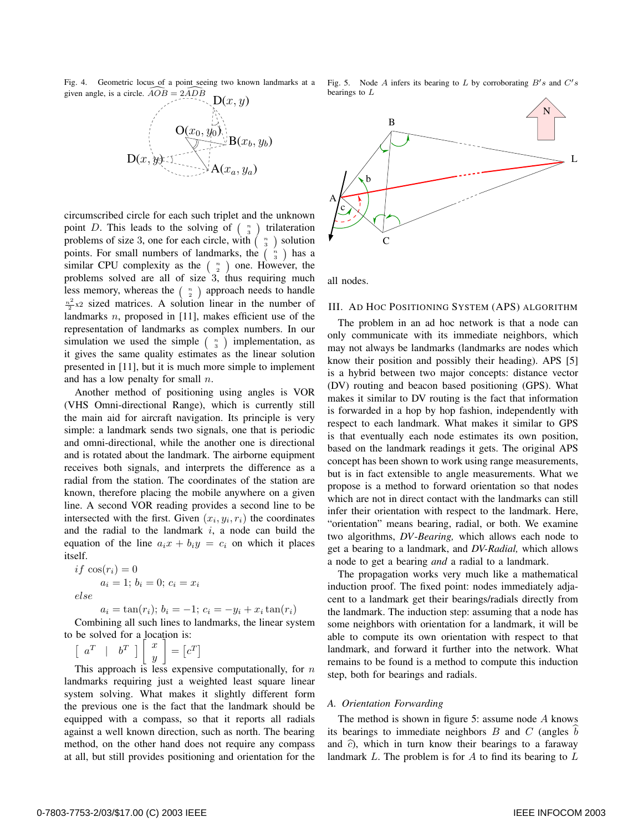Fig. 4. Geometric locus of a point seeing two known landmarks at a given angle, is a circle.  $AOB = 2ADB$ 



circumscribed circle for each such triplet and the unknown point *D*. This leads to the solving of  $\binom{n}{3}$  trilateration problems of size 3, one for each circle, with  $\begin{pmatrix} n \\ 3 \end{pmatrix}$  solution points. For small numbers of landmarks, the  $\begin{pmatrix} n \\ 3 \end{pmatrix}$  has a similar CPU complexity as the  $\binom{n}{2}$  one. However, the problems solved are all of size 3, thus requiring much less memory, whereas the  $\binom{n}{2}$  approach needs to handle  $\frac{n^2}{2}$  x2 sized matrices. A solution linear in the number of landmarks *n*, proposed in [11], makes efficient use of the representation of landmarks as complex numbers. In our simulation we used the simple  $\binom{n}{3}$  implementation, as it gives the same quality estimates as the linear solution presented in [11], but it is much more simple to implement and has a low penalty for small *n*.

Another method of positioning using angles is VOR (VHS Omni-directional Range), which is currently still the main aid for aircraft navigation. Its principle is very simple: a landmark sends two signals, one that is periodic and omni-directional, while the another one is directional and is rotated about the landmark. The airborne equipment receives both signals, and interprets the difference as a radial from the station. The coordinates of the station are known, therefore placing the mobile anywhere on a given line. A second VOR reading provides a second line to be intersected with the first. Given  $(x_i, y_i, r_i)$  the coordinates and the radial to the landmark *i*, a node can build the equation of the line  $a_i x + b_i y = c_i$  on which it places itself.

$$
if \cos(r_i) = 0
$$
  

$$
a_i = 1; b_i = 0; c_i = x_i
$$
  

$$
else
$$

 $a_i = \tan(r_i); b_i = -1; c_i = -y_i + x_i \tan(r_i)$ 

Combining all such lines to landmarks, the linear system to be solved for a location is:<br> $\begin{bmatrix} x & y \end{bmatrix} \begin{bmatrix} x \\ x \end{bmatrix}$ 

$$
\begin{bmatrix} a^T & b^T \end{bmatrix} \begin{bmatrix} x \\ y \end{bmatrix} = \begin{bmatrix} c^T \end{bmatrix}
$$
  
This approach is less average

This approach is less expensive computationally, for *n* landmarks requiring just a weighted least square linear system solving. What makes it slightly different form the previous one is the fact that the landmark should be equipped with a compass, so that it reports all radials against a well known direction, such as north. The bearing method, on the other hand does not require any compass at all, but still provides positioning and orientation for the



all nodes.

#### III. AD HOC POSITIONING SYSTEM (APS) ALGORITHM

The problem in an ad hoc network is that a node can only communicate with its immediate neighbors, which may not always be landmarks (landmarks are nodes which know their position and possibly their heading). APS [5] is a hybrid between two major concepts: distance vector (DV) routing and beacon based positioning (GPS). What makes it similar to DV routing is the fact that information is forwarded in a hop by hop fashion, independently with respect to each landmark. What makes it similar to GPS is that eventually each node estimates its own position, based on the landmark readings it gets. The original APS concept has been shown to work using range measurements, but is in fact extensible to angle measurements. What we propose is a method to forward orientation so that nodes which are not in direct contact with the landmarks can still infer their orientation with respect to the landmark. Here, "orientation" means bearing, radial, or both. We examine two algorithms, *DV*-*Bearing,* which allows each node to get a bearing to a landmark, and *DV-Radial,* which allows a node to get a bearing *and* a radial to a landmark.

The propagation works very much like a mathematical induction proof. The fixed point: nodes immediately adjacent to a landmark get their bearings/radials directly from the landmark. The induction step: assuming that a node has some neighbors with orientation for a landmark, it will be able to compute its own orientation with respect to that landmark, and forward it further into the network. What remains to be found is a method to compute this induction step, both for bearings and radials.

# *A. Orientation Forwarding*

The method is shown in figure 5: assume node *A* knows its bearings to immediate neighbors *B* and *C* (angles *b* and  $\hat{c}$ ), which in turn know their bearings to a faraway landmark *L*. The problem is for *A* to find its bearing to *L*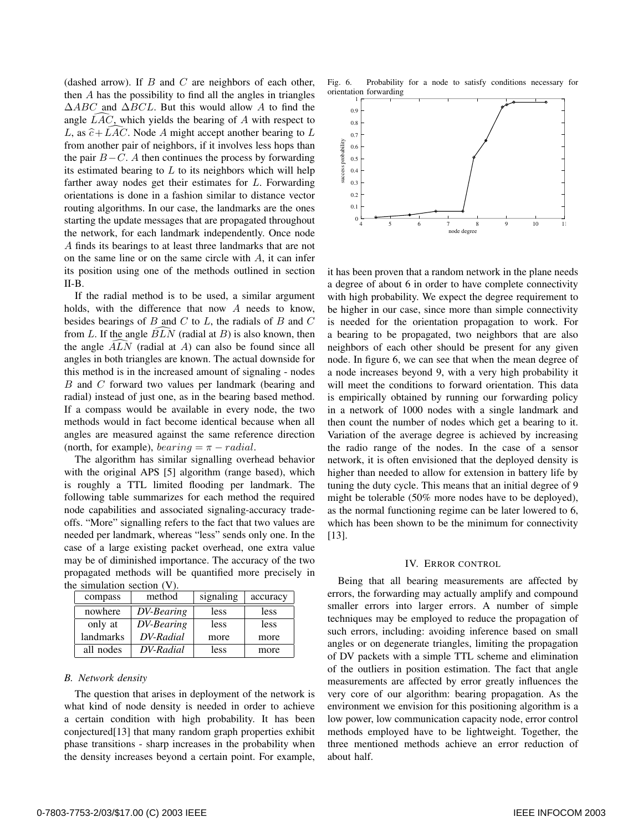(dashed arrow). If *B* and *C* are neighbors of each other, then *A* has the possibility to find all the angles in triangles ∆*ABC* and ∆*BCL*. But this would allow *A* to find the angle  $LAC$ , which yields the bearing of  $A$  with respect to *L*, as  $\hat{c} + LAC$ . Node *A* might accept another bearing to *L* from another pair of neighbors, if it involves less hops than the pair *B−C*. *A* then continues the process by forwarding its estimated bearing to *L* to its neighbors which will help farther away nodes get their estimates for *L*. Forwarding orientations is done in a fashion similar to distance vector routing algorithms. In our case, the landmarks are the ones starting the update messages that are propagated throughout the network, for each landmark independently. Once node *A* finds its bearings to at least three landmarks that are not on the same line or on the same circle with *A*, it can infer its position using one of the methods outlined in section II-B.

If the radial method is to be used, a similar argument holds, with the difference that now *A* needs to know, besides bearings of *B* and *C* to *L*, the radials of *B* and *C* from *L*. If the angle *BLN*- (radial at *B*) is also known, then the angle *ALN*- (radial at *A*) can also be found since all angles in both triangles are known. The actual downside for this method is in the increased amount of signaling - nodes *B* and *C* forward two values per landmark (bearing and radial) instead of just one, as in the bearing based method. If a compass would be available in every node, the two methods would in fact become identical because when all angles are measured against the same reference direction (north, for example), *bearing* =  $\pi$  *− radial*.

The algorithm has similar signalling overhead behavior with the original APS [5] algorithm (range based), which is roughly a TTL limited flooding per landmark. The following table summarizes for each method the required node capabilities and associated signaling-accuracy tradeoffs. "More" signalling refers to the fact that two values are needed per landmark, whereas "less" sends only one. In the case of a large existing packet overhead, one extra value may be of diminished importance. The accuracy of the two propagated methods will be quantified more precisely in the simulation section (V).

| compass   | method     | signaling | accuracy    |
|-----------|------------|-----------|-------------|
| nowhere   | DV-Bearing | less      | <i>less</i> |
| only at   | DV-Bearing | less      | <i>less</i> |
| landmarks | DV-Radial  | more      | more        |
| all nodes | DV-Radial  | less      | more        |

# *B. Network density*

The question that arises in deployment of the network is what kind of node density is needed in order to achieve a certain condition with high probability. It has been conjectured[13] that many random graph properties exhibit phase transitions - sharp increases in the probability when the density increases beyond a certain point. For example,





it has been proven that a random network in the plane needs a degree of about 6 in order to have complete connectivity with high probability. We expect the degree requirement to be higher in our case, since more than simple connectivity is needed for the orientation propagation to work. For a bearing to be propagated, two neighbors that are also neighbors of each other should be present for any given node. In figure 6, we can see that when the mean degree of a node increases beyond 9, with a very high probability it will meet the conditions to forward orientation. This data is empirically obtained by running our forwarding policy in a network of 1000 nodes with a single landmark and then count the number of nodes which get a bearing to it. Variation of the average degree is achieved by increasing the radio range of the nodes. In the case of a sensor network, it is often envisioned that the deployed density is higher than needed to allow for extension in battery life by tuning the duty cycle. This means that an initial degree of 9 might be tolerable (50% more nodes have to be deployed), as the normal functioning regime can be later lowered to 6, which has been shown to be the minimum for connectivity [13].

#### IV. ERROR CONTROL

Being that all bearing measurements are affected by errors, the forwarding may actually amplify and compound smaller errors into larger errors. A number of simple techniques may be employed to reduce the propagation of such errors, including: avoiding inference based on small angles or on degenerate triangles, limiting the propagation of DV packets with a simple TTL scheme and elimination of the outliers in position estimation. The fact that angle measurements are affected by error greatly influences the very core of our algorithm: bearing propagation. As the environment we envision for this positioning algorithm is a low power, low communication capacity node, error control methods employed have to be lightweight. Together, the three mentioned methods achieve an error reduction of about half.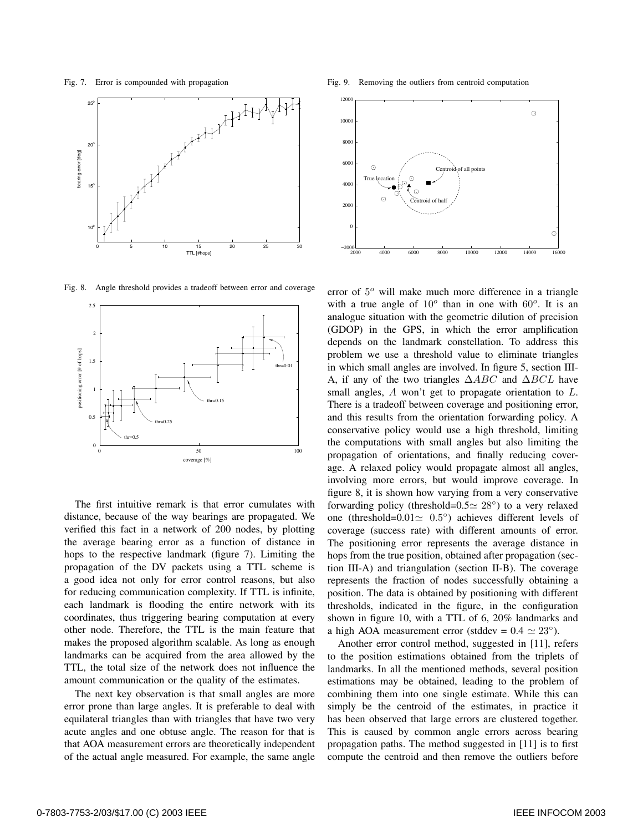Fig. 7. Error is compounded with propagation



Fig. 8. Angle threshold provides a tradeoff between error and coverage



The first intuitive remark is that error cumulates with distance, because of the way bearings are propagated. We verified this fact in a network of 200 nodes, by plotting the average bearing error as a function of distance in hops to the respective landmark (figure 7). Limiting the propagation of the DV packets using a TTL scheme is a good idea not only for error control reasons, but also for reducing communication complexity. If TTL is infinite, each landmark is flooding the entire network with its coordinates, thus triggering bearing computation at every other node. Therefore, the TTL is the main feature that makes the proposed algorithm scalable. As long as enough landmarks can be acquired from the area allowed by the TTL, the total size of the network does not influence the amount communication or the quality of the estimates.

The next key observation is that small angles are more error prone than large angles. It is preferable to deal with equilateral triangles than with triangles that have two very acute angles and one obtuse angle. The reason for that is that AOA measurement errors are theoretically independent of the actual angle measured. For example, the same angle





error of 5*<sup>o</sup>* will make much more difference in a triangle with a true angle of  $10^{\circ}$  than in one with  $60^{\circ}$ . It is an analogue situation with the geometric dilution of precision (GDOP) in the GPS, in which the error amplification depends on the landmark constellation. To address this problem we use a threshold value to eliminate triangles in which small angles are involved. In figure 5, section III-A, if any of the two triangles ∆*ABC* and ∆*BCL* have small angles, *A* won't get to propagate orientation to *L*. There is a tradeoff between coverage and positioning error, and this results from the orientation forwarding policy. A conservative policy would use a high threshold, limiting the computations with small angles but also limiting the propagation of orientations, and finally reducing coverage. A relaxed policy would propagate almost all angles, involving more errors, but would improve coverage. In figure 8, it is shown how varying from a very conservative forwarding policy (threshold= $0.5 \approx 28°$ ) to a very relaxed one (threshold= $0.01 \approx 0.5$ °) achieves different levels of coverage (success rate) with different amounts of error. The positioning error represents the average distance in hops from the true position, obtained after propagation (section III-A) and triangulation (section II-B). The coverage represents the fraction of nodes successfully obtaining a position. The data is obtained by positioning with different thresholds, indicated in the figure, in the configuration shown in figure 10, with a TTL of 6, 20% landmarks and a high AOA measurement error (stddev =  $0.4 \simeq 23^{\circ}$ ).

Another error control method, suggested in [11], refers to the position estimations obtained from the triplets of landmarks. In all the mentioned methods, several position estimations may be obtained, leading to the problem of combining them into one single estimate. While this can simply be the centroid of the estimates, in practice it has been observed that large errors are clustered together. This is caused by common angle errors across bearing propagation paths. The method suggested in [11] is to first compute the centroid and then remove the outliers before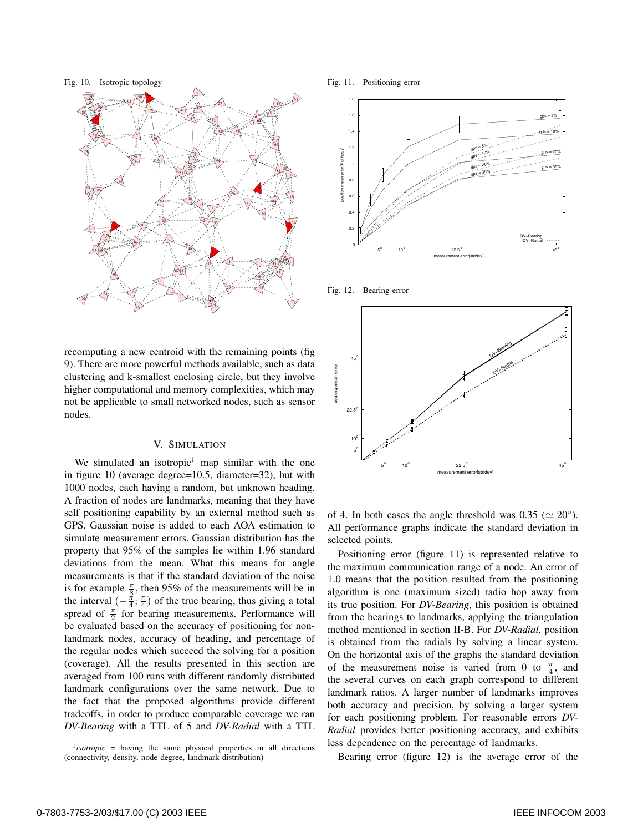Fig. 10. Isotropic topology



recomputing a new centroid with the remaining points (fig 9). There are more powerful methods available, such as data clustering and k-smallest enclosing circle, but they involve higher computational and memory complexities, which may not be applicable to small networked nodes, such as sensor nodes.

# V. SIMULATION

We simulated an isotropic<sup>1</sup> map similar with the one in figure 10 (average degree=10.5, diameter=32), but with 1000 nodes, each having a random, but unknown heading. A fraction of nodes are landmarks, meaning that they have self positioning capability by an external method such as GPS. Gaussian noise is added to each AOA estimation to simulate measurement errors. Gaussian distribution has the property that 95% of the samples lie within 1.96 standard deviations from the mean. What this means for angle measurements is that if the standard deviation of the noise is for example  $\frac{\pi}{8}$ , then 95% of the measurements will be in the interval  $\left(-\frac{\pi}{4}, \frac{\pi}{4}\right)$  of the true bearing, thus giving a total spread of  $\frac{\pi}{2}$  for bearing measurements. Performance will be evaluated based on the accuracy of positioning for nonlandmark nodes, accuracy of heading, and percentage of the regular nodes which succeed the solving for a position (coverage). All the results presented in this section are averaged from 100 runs with different randomly distributed landmark configurations over the same network. Due to the fact that the proposed algorithms provide different tradeoffs, in order to produce comparable coverage we ran *DV-Bearing* with a TTL of 5 and *DV-Radial* with a TTL









of 4. In both cases the angle threshold was  $0.35 \approx 20^{\circ}$ ). All performance graphs indicate the standard deviation in selected points.

Positioning error (figure 11) is represented relative to the maximum communication range of a node. An error of 1*.*0 means that the position resulted from the positioning algorithm is one (maximum sized) radio hop away from its true position. For *DV-Bearing*, this position is obtained from the bearings to landmarks, applying the triangulation method mentioned in section II-B. For *DV-Radial,* position is obtained from the radials by solving a linear system. On the horizontal axis of the graphs the standard deviation of the measurement noise is varied from 0 to  $\frac{\pi}{4}$ , and the several curves on each graph correspond to different landmark ratios. A larger number of landmarks improves both accuracy and precision, by solving a larger system for each positioning problem. For reasonable errors *DV-Radial* provides better positioning accuracy, and exhibits less dependence on the percentage of landmarks.

Bearing error (figure 12) is the average error of the

 $\frac{1}{1}$ *isotropic* = having the same physical properties in all directions (connectivity, density, node degree, landmark distribution)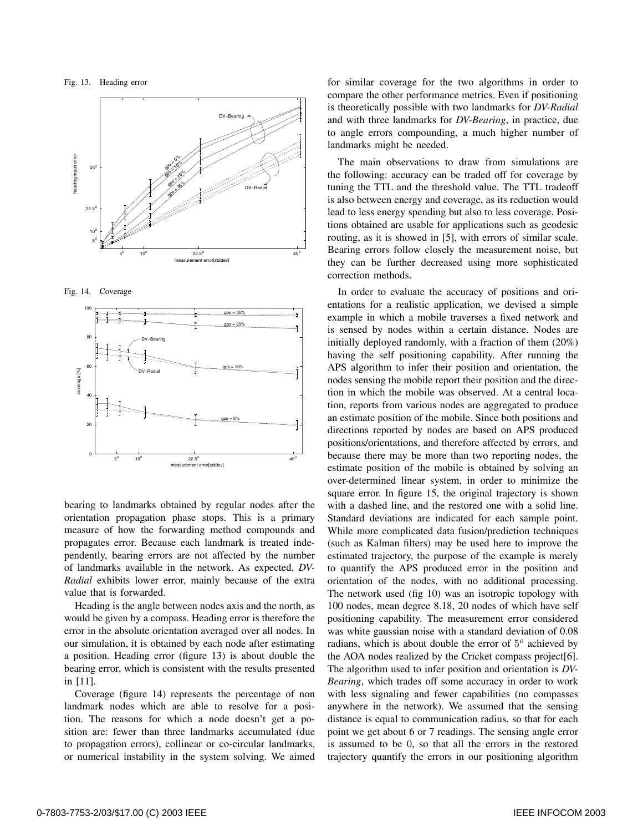

Fig. 14. Coverage



bearing to landmarks obtained by regular nodes after the orientation propagation phase stops. This is a primary measure of how the forwarding method compounds and propagates error. Because each landmark is treated independently, bearing errors are not affected by the number of landmarks available in the network. As expected, *DV-Radial* exhibits lower error, mainly because of the extra value that is forwarded.

Heading is the angle between nodes axis and the north, as would be given by a compass. Heading error is therefore the error in the absolute orientation averaged over all nodes. In our simulation, it is obtained by each node after estimating a position. Heading error (figure 13) is about double the bearing error, which is consistent with the results presented in [11].

Coverage (figure 14) represents the percentage of non landmark nodes which are able to resolve for a position. The reasons for which a node doesn't get a position are: fewer than three landmarks accumulated (due to propagation errors), collinear or co-circular landmarks, or numerical instability in the system solving. We aimed

for similar coverage for the two algorithms in order to compare the other performance metrics. Even if positioning is theoretically possible with two landmarks for *DV-Radial* and with three landmarks for *DV-Bearing*, in practice, due to angle errors compounding, a much higher number of landmarks might be needed.

The main observations to draw from simulations are the following: accuracy can be traded off for coverage by tuning the TTL and the threshold value. The TTL tradeoff is also between energy and coverage, as its reduction would lead to less energy spending but also to less coverage. Positions obtained are usable for applications such as geodesic routing, as it is showed in [5], with errors of similar scale. Bearing errors follow closely the measurement noise, but they can be further decreased using more sophisticated correction methods.

In order to evaluate the accuracy of positions and orientations for a realistic application, we devised a simple example in which a mobile traverses a fixed network and is sensed by nodes within a certain distance. Nodes are initially deployed randomly, with a fraction of them (20%) having the self positioning capability. After running the APS algorithm to infer their position and orientation, the nodes sensing the mobile report their position and the direction in which the mobile was observed. At a central location, reports from various nodes are aggregated to produce an estimate position of the mobile. Since both positions and directions reported by nodes are based on APS produced positions/orientations, and therefore affected by errors, and because there may be more than two reporting nodes, the estimate position of the mobile is obtained by solving an over-determined linear system, in order to minimize the square error. In figure 15, the original trajectory is shown with a dashed line, and the restored one with a solid line. Standard deviations are indicated for each sample point. While more complicated data fusion/prediction techniques (such as Kalman filters) may be used here to improve the estimated trajectory, the purpose of the example is merely to quantify the APS produced error in the position and orientation of the nodes, with no additional processing. The network used (fig 10) was an isotropic topology with 100 nodes, mean degree 8.18, 20 nodes of which have self positioning capability. The measurement error considered was white gaussian noise with a standard deviation of 0.08 radians, which is about double the error of 5*<sup>o</sup>* achieved by the AOA nodes realized by the Cricket compass project[6]. The algorithm used to infer position and orientation is *DV-Bearing*, which trades off some accuracy in order to work with less signaling and fewer capabilities (no compasses anywhere in the network). We assumed that the sensing distance is equal to communication radius, so that for each point we get about 6 or 7 readings. The sensing angle error is assumed to be 0, so that all the errors in the restored trajectory quantify the errors in our positioning algorithm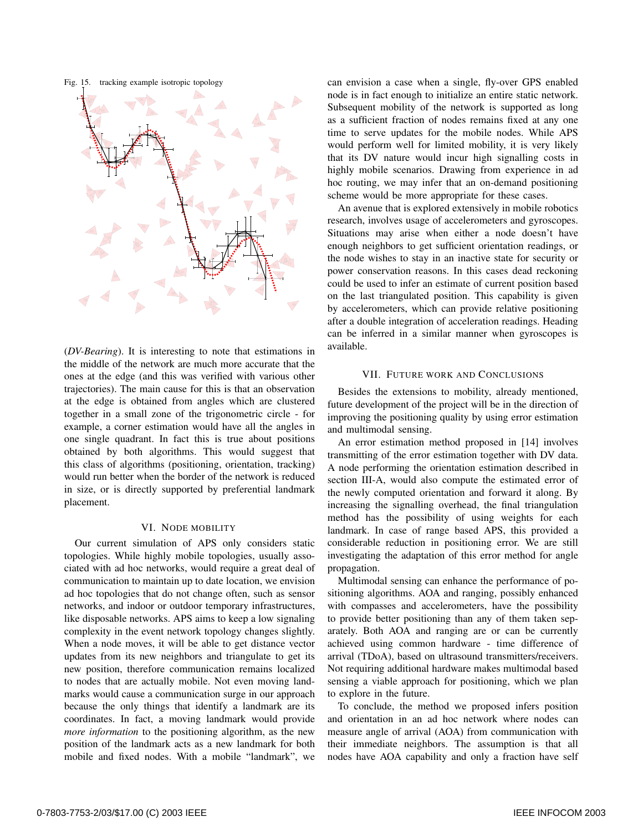Fig. 15. tracking example isotropic topology



(*DV-Bearing*). It is interesting to note that estimations in the middle of the network are much more accurate that the ones at the edge (and this was verified with various other trajectories). The main cause for this is that an observation at the edge is obtained from angles which are clustered together in a small zone of the trigonometric circle - for example, a corner estimation would have all the angles in one single quadrant. In fact this is true about positions obtained by both algorithms. This would suggest that this class of algorithms (positioning, orientation, tracking) would run better when the border of the network is reduced in size, or is directly supported by preferential landmark placement.

# VI. NODE MOBILITY

Our current simulation of APS only considers static topologies. While highly mobile topologies, usually associated with ad hoc networks, would require a great deal of communication to maintain up to date location, we envision ad hoc topologies that do not change often, such as sensor networks, and indoor or outdoor temporary infrastructures, like disposable networks. APS aims to keep a low signaling complexity in the event network topology changes slightly. When a node moves, it will be able to get distance vector updates from its new neighbors and triangulate to get its new position, therefore communication remains localized to nodes that are actually mobile. Not even moving landmarks would cause a communication surge in our approach because the only things that identify a landmark are its coordinates. In fact, a moving landmark would provide *more information* to the positioning algorithm, as the new position of the landmark acts as a new landmark for both mobile and fixed nodes. With a mobile "landmark", we

can envision a case when a single, fly-over GPS enabled node is in fact enough to initialize an entire static network. Subsequent mobility of the network is supported as long as a sufficient fraction of nodes remains fixed at any one time to serve updates for the mobile nodes. While APS would perform well for limited mobility, it is very likely that its DV nature would incur high signalling costs in highly mobile scenarios. Drawing from experience in ad hoc routing, we may infer that an on-demand positioning scheme would be more appropriate for these cases.

An avenue that is explored extensively in mobile robotics research, involves usage of accelerometers and gyroscopes. Situations may arise when either a node doesn't have enough neighbors to get sufficient orientation readings, or the node wishes to stay in an inactive state for security or power conservation reasons. In this cases dead reckoning could be used to infer an estimate of current position based on the last triangulated position. This capability is given by accelerometers, which can provide relative positioning after a double integration of acceleration readings. Heading can be inferred in a similar manner when gyroscopes is available.

## VII. FUTURE WORK AND CONCLUSIONS

Besides the extensions to mobility, already mentioned, future development of the project will be in the direction of improving the positioning quality by using error estimation and multimodal sensing.

An error estimation method proposed in [14] involves transmitting of the error estimation together with DV data. A node performing the orientation estimation described in section III-A, would also compute the estimated error of the newly computed orientation and forward it along. By increasing the signalling overhead, the final triangulation method has the possibility of using weights for each landmark. In case of range based APS, this provided a considerable reduction in positioning error. We are still investigating the adaptation of this error method for angle propagation.

Multimodal sensing can enhance the performance of positioning algorithms. AOA and ranging, possibly enhanced with compasses and accelerometers, have the possibility to provide better positioning than any of them taken separately. Both AOA and ranging are or can be currently achieved using common hardware - time difference of arrival (TDoA), based on ultrasound transmitters/receivers. Not requiring additional hardware makes multimodal based sensing a viable approach for positioning, which we plan to explore in the future.

To conclude, the method we proposed infers position and orientation in an ad hoc network where nodes can measure angle of arrival (AOA) from communication with their immediate neighbors. The assumption is that all nodes have AOA capability and only a fraction have self